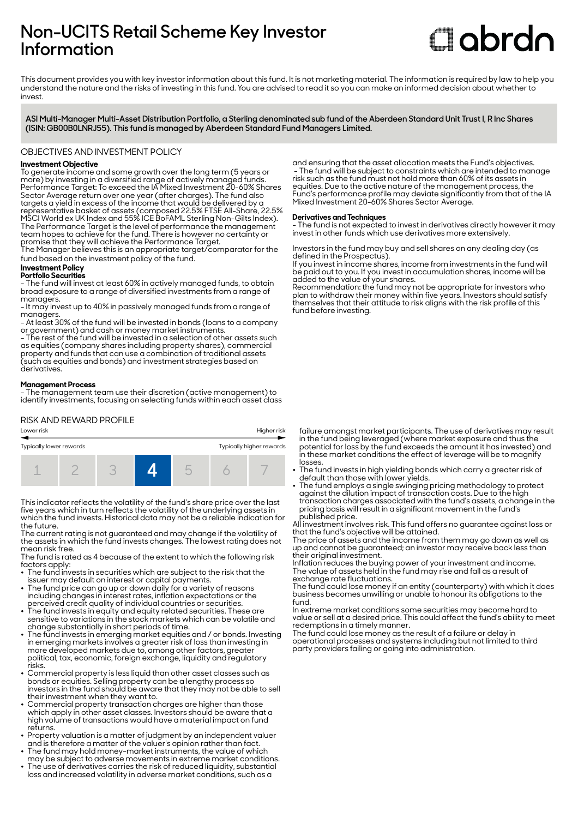# **Non-UCITS Retail Scheme Key Investor Information**

# **Clobrdn**

This document provides you with key investor information about this fund. It is not marketing material. The information is required by law to help you understand the nature and the risks of investing in this fund. You are advised to read it so you can make an informed decision about whether to invest

**ASI Multi-Manager Multi-Asset Distribution Portfolio, a Sterling denominated sub fund of the Aberdeen Standard Unit Trust I, R Inc Shares (ISIN: GB00B0LNRJ55). This fund is managed by Aberdeen Standard Fund Managers Limited.**

OBJECTIVES AND INVESTMENT POLICY

# **Investment Objective**

To generate income and some growth over the long term (5 years or more) by investing in a diversified range of actively managed funds. Performance Target: To exceed the IA Mixed Investment 20-60% Shares Sector Average return over one year (after charges). The fund also targets a yield in excess of the income that would be delivered by a representative basket of assets (composed 22.5% FTSE All-Share, 22.5% MSCI World ex UK Index and 55% ICE BoFAML Sterling Non-Gilts Index). The Performance Target is the level of performance the management team hopes to achieve for the fund. There is however no certainty or promise that they will achieve the Performance Target.

The Manager believes this is an appropriate target/comparator for the fund based on the investment policy of the fund.

#### **Investment Policy Portfolio Securities**

- The fund will invest at least 60% in actively managed funds, to obtain broad exposure to a range of diversified investments from a range of managers.

- It may invest up to 40% in passively managed funds from a range of managers.

- At least 30% of the fund will be invested in bonds (loans to a company or government) and cash or money market instruments.

- The rest of the fund will be invested in a selection of other assets such as equities (company shares including property shares), commercial property and funds that can use a combination of traditional assets (such as equities and bonds) and investment strategies based on derivatives.

# **Management Process**

- The management team use their discretion (active management) to identify investments, focusing on selecting funds within each asset class

RISK AND REWARD PROFILE



This indicator reflects the volatility of the fund's share price over the last five years which in turn reflects the volatility of the underlying assets in which the fund invests. Historical data may not be a reliable indication for the future.

The current rating is not guaranteed and may change if the volatility of the assets in which the fund invests changes. The lowest rating does not mean risk free.

The fund is rated as 4 because of the extent to which the following risk factors apply:

- The fund invests in securities which are subject to the risk that the issuer may default on interest or capital payments.
- The fund price can go up or down daily for a variety of reasons including changes in interest rates, inflation expectations or the
- perceived credit quality of individual countries or securities. 2 The fund invests in equity and equity related securities. These are sensitive to variations in the stock markets which can be volatile and change substantially in short periods of time.
- The fund invests in emerging market equities and / or bonds. Investing in emerging markets involves a greater risk of loss than investing in more developed markets due to, among other factors, greater political, tax, economic, foreign exchange, liquidity and regulatory risks.
- Commercial property is less liquid than other asset classes such as bonds or equities. Selling property can be a lengthy process so investors in the fund should be aware that they may not be able to sell their investment when they want to.
- Commercial property transaction charges are higher than those which apply in other asset classes. Investors should be aware that a high volume of transactions would have a material impact on fund returns.
- Property valuation is a matter of judgment by an independent valuer and is therefore a matter of the valuer's opinion rather than fact.
- The fund may hold money-market instruments, the value of which may be subject to adverse movements in extreme market conditions. 2 The use of derivatives carries the risk of reduced liquidity, substantial
- loss and increased volatility in adverse market conditions, such as a

and ensuring that the asset allocation meets the Fund's objectives. - The fund will be subject to constraints which are intended to manage risk such as the fund must not hold more than 60% of its assets in equities. Due to the active nature of the management process, the Fund's performance profile may deviate significantly from that of the IA Mixed Investment 20-60% Shares Sector Average.

# **Derivatives and Techniques**

- The fund is not expected to invest in derivatives directly however it may invest in other funds which use derivatives more extensively.

Investors in the fund may buy and sell shares on any dealing day (as defined in the Prospectus).

If you invest in income shares, income from investments in the fund will be paid out to you. If you invest in accumulation shares, income will be added to the value of your shares.

Recommendation: the fund may not be appropriate for investors who plan to withdraw their money within five years. Investors should satisfy themselves that their attitude to risk aligns with the risk profile of this fund before investing.

failure amongst market participants. The use of derivatives may result in the fund being leveraged (where market exposure and thus the potential for loss by the fund exceeds the amount it has invested) and in these market conditions the effect of leverage will be to magnify losses.

- The fund invests in high yielding bonds which carry a greater risk of
- default than those with lower yields. 2 The fund employs a single swinging pricing methodology to protect against the dilution impact of transaction costs. Due to the high transaction charges associated with the fund's assets, a change in the pricing basis will result in a significant movement in the fund's published price.

All investment involves risk. This fund offers no guarantee against loss or that the fund's objective will be attained.

The price of assets and the income from them may go down as well as up and cannot be guaranteed; an investor may receive back less than their original investment.

Inflation reduces the buying power of your investment and income. The value of assets held in the fund may rise and fall as a result of exchange rate fluctuations.

The fund could lose money if an entity (counterparty) with which it does business becomes unwilling or unable to honour its obligations to the fund.

In extreme market conditions some securities may become hard to value or sell at a desired price. This could affect the fund's ability to meet redemptions in a timely manner.

The fund could lose money as the result of a failure or delay in operational processes and systems including but not limited to third party providers failing or going into administration.